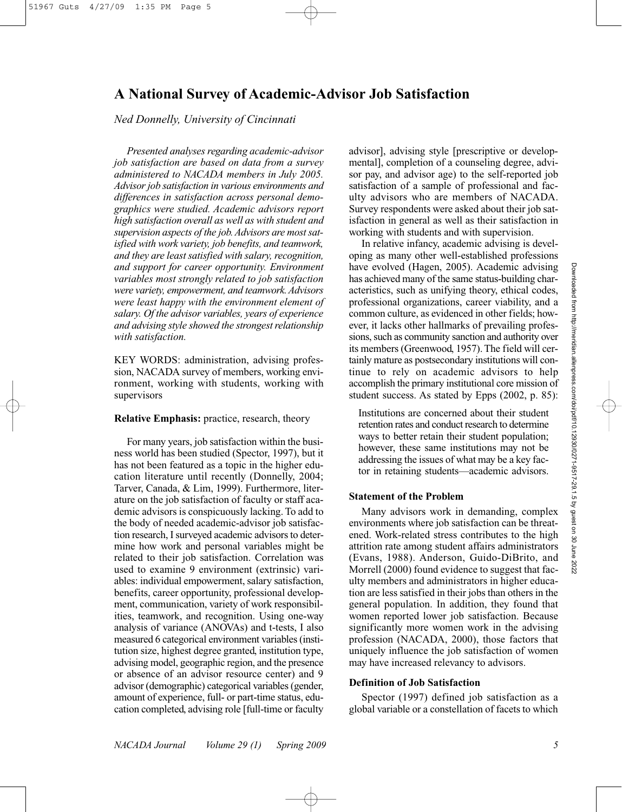# **A National Survey of Academic-Advisor Job Satisfaction**

### *Ned Donnelly, University of Cincinnati*

*Presented analyses regarding academic-advisor job satisfaction are based on data from a survey administered to NACADA members in July 2005. Advisor job satisfaction in various environments and differences in satisfaction across personal demographics were studied. Academic advisors report high satisfaction overall as well as with student and supervision aspects of the job. Advisors are most satisfied with work variety, job benefits, and teamwork, and they are least satisfied with salary, recognition, and support for career opportunity. Environment variables most strongly related to job satisfaction were variety, empowerment, and teamwork. Advisors were least happy with the environment element of salary. Of the advisor variables, years of experience and advising style showed the strongest relationship with satisfaction.*

KEY WORDS: administration, advising profession, NACADA survey of members, working environment, working with students, working with supervisors

#### **Relative Emphasis:** practice, research, theory

For many years, job satisfaction within the business world has been studied (Spector, 1997), but it has not been featured as a topic in the higher education literature until recently (Donnelly, 2004; Tarver, Canada, & Lim, 1999). Furthermore, literature on the job satisfaction of faculty or staff academic advisors is conspicuously lacking. To add to the body of needed academic-advisor job satisfaction research, I surveyed academic advisors to determine how work and personal variables might be related to their job satisfaction. Correlation was used to examine 9 environment (extrinsic) variables: individual empowerment, salary satisfaction, benefits, career opportunity, professional development, communication, variety of work responsibilities, teamwork, and recognition. Using one-way analysis of variance (ANOVAs) and t-tests, I also measured 6 categorical environment variables (institution size, highest degree granted, institution type, advising model, geographic region, and the presence or absence of an advisor resource center) and 9 advisor (demographic) categorical variables (gender, amount of experience, full- or part-time status, education completed, advising role [full-time or faculty

advisor], advising style [prescriptive or developmental], completion of a counseling degree, advisor pay, and advisor age) to the self-reported job satisfaction of a sample of professional and faculty advisors who are members of NACADA. Survey respondents were asked about their job satisfaction in general as well as their satisfaction in working with students and with supervision.

In relative infancy, academic advising is developing as many other well-established professions have evolved (Hagen, 2005). Academic advising has achieved many of the same status-building characteristics, such as unifying theory, ethical codes, professional organizations, career viability, and a common culture, as evidenced in other fields; however, it lacks other hallmarks of prevailing professions, such as community sanction and authority over its members (Greenwood, 1957). The field will certainly mature as postsecondary institutions will continue to rely on academic advisors to help accomplish the primary institutional core mission of student success. As stated by Epps (2002, p. 85):

Institutions are concerned about their student retention rates and conduct research to determine ways to better retain their student population; however, these same institutions may not be addressing the issues of what may be a key factor in retaining students—academic advisors.

#### **Statement of the Problem**

Many advisors work in demanding, complex environments where job satisfaction can be threatened. Work-related stress contributes to the high attrition rate among student affairs administrators (Evans, 1988). Anderson, Guido-DiBrito, and Morrell (2000) found evidence to suggest that faculty members and administrators in higher education are less satisfied in their jobs than others in the general population. In addition, they found that women reported lower job satisfaction. Because significantly more women work in the advising profession (NACADA, 2000), those factors that uniquely influence the job satisfaction of women may have increased relevancy to advisors.

## **Definition of Job Satisfaction**

Spector (1997) defined job satisfaction as a global variable or a constellation of facets to which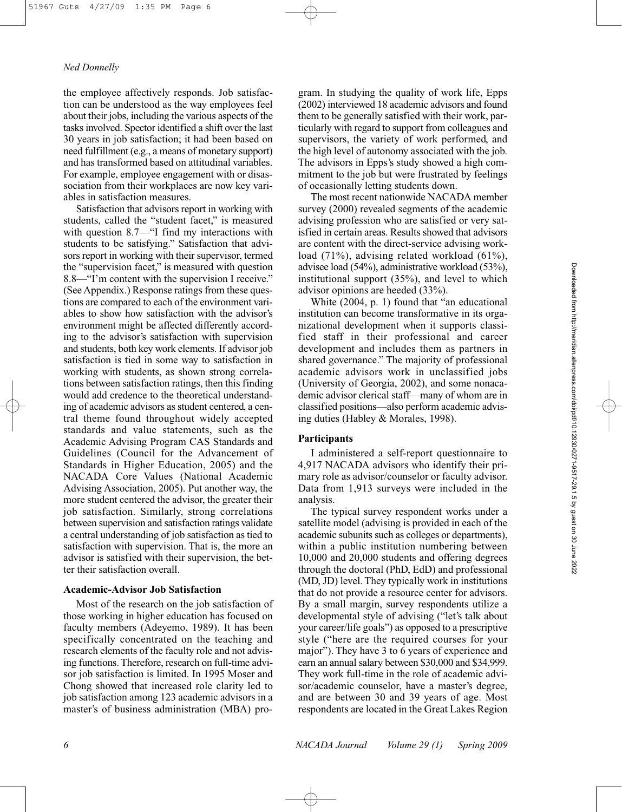the employee affectively responds. Job satisfaction can be understood as the way employees feel about their jobs, including the various aspects of the tasks involved. Spector identified a shift over the last 30 years in job satisfaction; it had been based on need fulfillment (e.g., a means of monetary support) and has transformed based on attitudinal variables. For example, employee engagement with or disassociation from their workplaces are now key variables in satisfaction measures.

Satisfaction that advisors report in working with students, called the "student facet," is measured with question 8.7—"I find my interactions with students to be satisfying." Satisfaction that advisors report in working with their supervisor, termed the "supervision facet," is measured with question 8.8—"I'm content with the supervision I receive." (See Appendix.) Response ratings from these questions are compared to each of the environment variables to show how satisfaction with the advisor's environment might be affected differently according to the advisor's satisfaction with supervision and students, both key work elements. If advisor job satisfaction is tied in some way to satisfaction in working with students, as shown strong correlations between satisfaction ratings, then this finding would add credence to the theoretical understanding of academic advisors as student centered, a central theme found throughout widely accepted standards and value statements, such as the Academic Advising Program CAS Standards and Guidelines (Council for the Advancement of Standards in Higher Education, 2005) and the NACADA Core Values (National Academic Advising Association, 2005). Put another way, the more student centered the advisor, the greater their job satisfaction. Similarly, strong correlations between supervision and satisfaction ratings validate a central understanding of job satisfaction as tied to satisfaction with supervision. That is, the more an advisor is satisfied with their supervision, the better their satisfaction overall.

#### **Academic-Advisor Job Satisfaction**

Most of the research on the job satisfaction of those working in higher education has focused on faculty members (Adeyemo, 1989). It has been specifically concentrated on the teaching and research elements of the faculty role and not advising functions. Therefore, research on full-time advisor job satisfaction is limited. In 1995 Moser and Chong showed that increased role clarity led to job satisfaction among 123 academic advisors in a master's of business administration (MBA) program. In studying the quality of work life, Epps (2002) interviewed 18 academic advisors and found them to be generally satisfied with their work, particularly with regard to support from colleagues and supervisors, the variety of work performed, and the high level of autonomy associated with the job. The advisors in Epps's study showed a high commitment to the job but were frustrated by feelings of occasionally letting students down.

The most recent nationwide NACADA member survey (2000) revealed segments of the academic advising profession who are satisfied or very satisfied in certain areas. Results showed that advisors are content with the direct-service advising workload (71%), advising related workload (61%), advisee load (54%), administrative workload (53%), institutional support (35%), and level to which advisor opinions are heeded (33%).

White (2004, p. 1) found that "an educational institution can become transformative in its organizational development when it supports classified staff in their professional and career development and includes them as partners in shared governance." The majority of professional academic advisors work in unclassified jobs (University of Georgia, 2002), and some nonacademic advisor clerical staff—many of whom are in classified positions—also perform academic advising duties (Habley & Morales, 1998).

## **Participants**

I administered a self-report questionnaire to 4,917 NACADA advisors who identify their primary role as advisor/counselor or faculty advisor. Data from 1,913 surveys were included in the analysis.

The typical survey respondent works under a satellite model (advising is provided in each of the academic subunits such as colleges or departments), within a public institution numbering between 10,000 and 20,000 students and offering degrees through the doctoral (PhD, EdD) and professional (MD, JD) level. They typically work in institutions that do not provide a resource center for advisors. By a small margin, survey respondents utilize a developmental style of advising ("let's talk about your career/life goals") as opposed to a prescriptive style ("here are the required courses for your major"). They have 3 to 6 years of experience and earn an annual salary between \$30,000 and \$34,999. They work full-time in the role of academic advisor/academic counselor, have a master's degree, and are between 30 and 39 years of age. Most respondents are located in the Great Lakes Region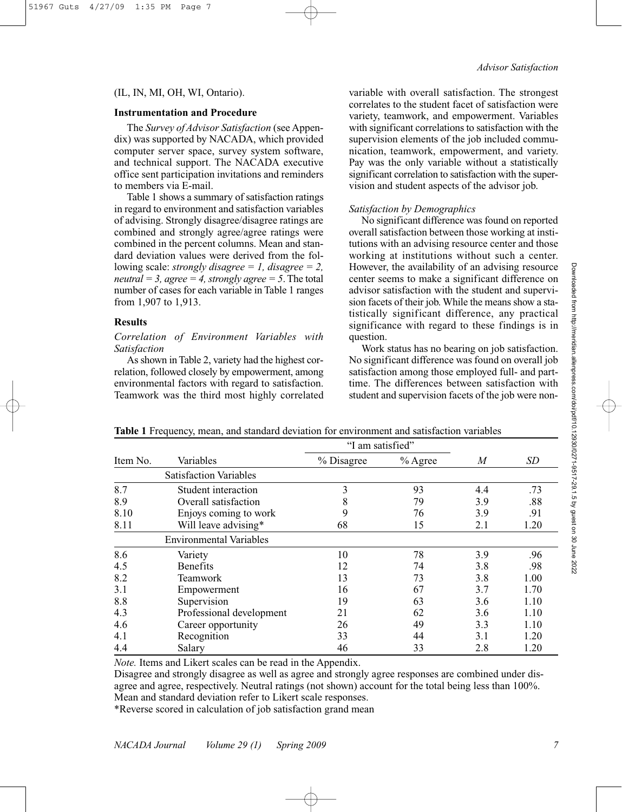## (IL, IN, MI, OH, WI, Ontario).

#### **Instrumentation and Procedure**

The *Survey of Advisor Satisfaction* (see Appendix) was supported by NACADA, which provided computer server space, survey system software, and technical support. The NACADA executive office sent participation invitations and reminders to members via E-mail.

Table 1 shows a summary of satisfaction ratings in regard to environment and satisfaction variables of advising. Strongly disagree/disagree ratings are combined and strongly agree/agree ratings were combined in the percent columns. Mean and standard deviation values were derived from the following scale: *strongly disagree = 1, disagree = 2, neutral* = 3, *agree* = 4, *strongly agree* = 5. The total number of cases for each variable in Table 1 ranges from 1,907 to 1,913.

## **Results**

*Correlation of Environment Variables with Satisfaction*

As shown in Table 2, variety had the highest correlation, followed closely by empowerment, among environmental factors with regard to satisfaction. Teamwork was the third most highly correlated variable with overall satisfaction. The strongest correlates to the student facet of satisfaction were variety, teamwork, and empowerment. Variables with significant correlations to satisfaction with the supervision elements of the job included communication, teamwork, empowerment, and variety. Pay was the only variable without a statistically significant correlation to satisfaction with the supervision and student aspects of the advisor job.

#### *Satisfaction by Demographics*

No significant difference was found on reported overall satisfaction between those working at institutions with an advising resource center and those working at institutions without such a center. However, the availability of an advising resource center seems to make a significant difference on advisor satisfaction with the student and supervision facets of their job. While the means show a statistically significant difference, any practical significance with regard to these findings is in question.

Work status has no bearing on job satisfaction. No significant difference was found on overall job satisfaction among those employed full- and parttime. The differences between satisfaction with student and supervision facets of the job were non-

|          |                                | "I am satisfied" |           |     |      |
|----------|--------------------------------|------------------|-----------|-----|------|
| Item No. | Variables                      | % Disagree       | $%$ Agree | M   | SD   |
|          | <b>Satisfaction Variables</b>  |                  |           |     |      |
| 8.7      | Student interaction            | 3                | 93        | 4.4 | .73  |
| 8.9      | Overall satisfaction           | 8                | 79        | 3.9 | .88  |
| 8.10     | Enjoys coming to work          | 9                | 76        | 3.9 | .91  |
| 8.11     | Will leave advising*           | 68               | 15        | 2.1 | 1.20 |
|          | <b>Environmental Variables</b> |                  |           |     |      |
| 8.6      | Variety                        | 10               | 78        | 3.9 | .96  |
| 4.5      | <b>Benefits</b>                | 12               | 74        | 3.8 | .98  |
| 8.2      | Teamwork                       | 13               | 73        | 3.8 | 1.00 |
| 3.1      | Empowerment                    | 16               | 67        | 3.7 | 1.70 |
| 8.8      | Supervision                    | 19               | 63        | 3.6 | 1.10 |
| 4.3      | Professional development       | 21               | 62        | 3.6 | 1.10 |
| 4.6      | Career opportunity             | 26               | 49        | 3.3 | 1.10 |
| 4.1      | Recognition                    | 33               | 44        | 3.1 | 1.20 |
| 4.4      | Salary                         | 46               | 33        | 2.8 | 1.20 |

**Table 1** Frequency, mean, and standard deviation for environment and satisfaction variables

*Note.* Items and Likert scales can be read in the Appendix.

Disagree and strongly disagree as well as agree and strongly agree responses are combined under disagree and agree, respectively. Neutral ratings (not shown) account for the total being less than 100%. Mean and standard deviation refer to Likert scale responses.

\*Reverse scored in calculation of job satisfaction grand mean

Downloaded from http://meridian.allenpress.com/doi/pdf/10.12930/0271-9517-29.1.5 by guest on 30 June Downloaded from http://meridian.allenpress.com/doi/pdf/10.12930/0271-9517-29.1.5 by guest on 30 June 2022

2022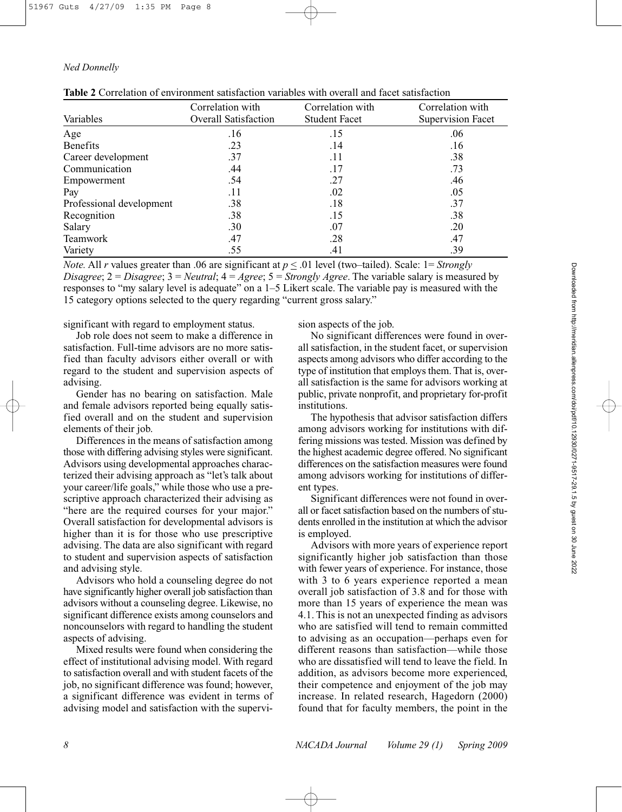|  |  |  | <b>Table 2</b> Correlation of environment satisfaction variables with overall and facet satisfaction |  |  |  |  |  |  |  |
|--|--|--|------------------------------------------------------------------------------------------------------|--|--|--|--|--|--|--|
|--|--|--|------------------------------------------------------------------------------------------------------|--|--|--|--|--|--|--|

| Variables                | Correlation with<br>Overall Satisfaction | Correlation with<br><b>Student Facet</b> | Correlation with<br>Supervision Facet |
|--------------------------|------------------------------------------|------------------------------------------|---------------------------------------|
| Age                      | .16                                      | .15                                      | .06                                   |
| <b>Benefits</b>          | .23                                      | .14                                      | .16                                   |
| Career development       | .37                                      | .11                                      | .38                                   |
| Communication            | .44                                      | .17                                      | .73                                   |
| Empowerment              | .54                                      | .27                                      | .46                                   |
| Pay                      | .11                                      | .02                                      | .05                                   |
| Professional development | .38                                      | .18                                      | .37                                   |
| Recognition              | .38                                      | .15                                      | .38                                   |
| Salary                   | .30                                      | .07                                      | .20                                   |
| Teamwork                 | .47                                      | .28                                      | .47                                   |
| Variety                  | .55                                      | .41                                      | .39                                   |

*Note.* All *r* values greater than .06 are significant at  $p \le 0.01$  level (two–tailed). Scale:  $1 = \text{Strongly}$ *Disagree*; 2 = *Disagree*; 3 = *Neutral*; 4 = *Agree*; 5 = *Strongly Agree*. The variable salary is measured by responses to "my salary level is adequate" on a 1–5 Likert scale. The variable pay is measured with the 15 category options selected to the query regarding "current gross salary."

significant with regard to employment status.

Job role does not seem to make a difference in satisfaction. Full-time advisors are no more satisfied than faculty advisors either overall or with regard to the student and supervision aspects of advising.

Gender has no bearing on satisfaction. Male and female advisors reported being equally satisfied overall and on the student and supervision elements of their job.

Differences in the means of satisfaction among those with differing advising styles were significant. Advisors using developmental approaches characterized their advising approach as "let's talk about your career/life goals," while those who use a prescriptive approach characterized their advising as "here are the required courses for your major." Overall satisfaction for developmental advisors is higher than it is for those who use prescriptive advising. The data are also significant with regard to student and supervision aspects of satisfaction and advising style.

Advisors who hold a counseling degree do not have significantly higher overall job satisfaction than advisors without a counseling degree. Likewise, no significant difference exists among counselors and noncounselors with regard to handling the student aspects of advising.

Mixed results were found when considering the effect of institutional advising model. With regard to satisfaction overall and with student facets of the job, no significant difference was found; however, a significant difference was evident in terms of advising model and satisfaction with the supervision aspects of the job.

No significant differences were found in overall satisfaction, in the student facet, or supervision aspects among advisors who differ according to the type of institution that employs them. That is, overall satisfaction is the same for advisors working at public, private nonprofit, and proprietary for-profit institutions.

The hypothesis that advisor satisfaction differs among advisors working for institutions with differing missions was tested. Mission was defined by the highest academic degree offered. No significant differences on the satisfaction measures were found among advisors working for institutions of different types.

Significant differences were not found in overall or facet satisfaction based on the numbers of students enrolled in the institution at which the advisor is employed.

Advisors with more years of experience report significantly higher job satisfaction than those with fewer years of experience. For instance, those with 3 to 6 years experience reported a mean overall job satisfaction of 3.8 and for those with more than 15 years of experience the mean was 4.1. This is not an unexpected finding as advisors who are satisfied will tend to remain committed to advising as an occupation—perhaps even for different reasons than satisfaction—while those who are dissatisfied will tend to leave the field. In addition, as advisors become more experienced, their competence and enjoyment of the job may increase. In related research, Hagedorn (2000) found that for faculty members, the point in the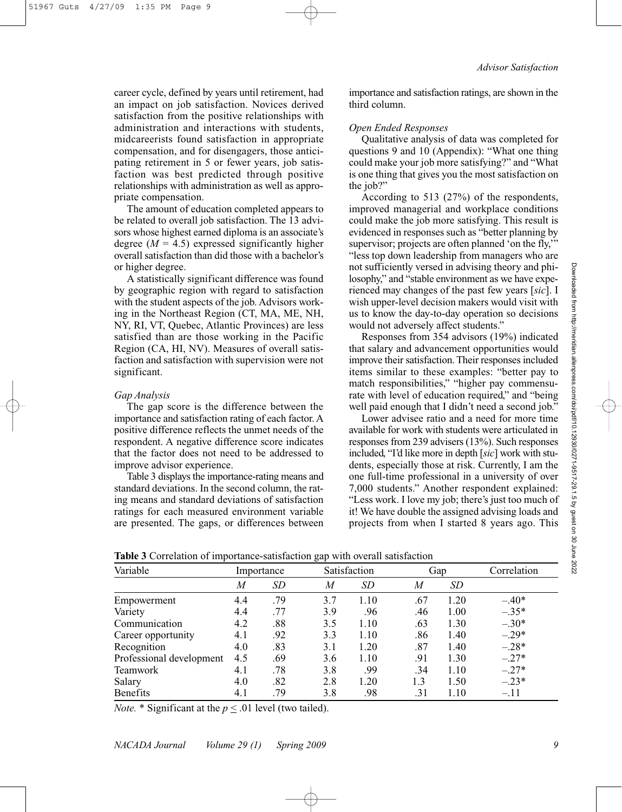career cycle, defined by years until retirement, had an impact on job satisfaction. Novices derived satisfaction from the positive relationships with administration and interactions with students, midcareerists found satisfaction in appropriate compensation, and for disengagers, those anticipating retirement in 5 or fewer years, job satisfaction was best predicted through positive relationships with administration as well as appropriate compensation.

The amount of education completed appears to be related to overall job satisfaction. The 13 advisors whose highest earned diploma is an associate's degree  $(M = 4.5)$  expressed significantly higher overall satisfaction than did those with a bachelor's or higher degree.

A statistically significant difference was found by geographic region with regard to satisfaction with the student aspects of the job. Advisors working in the Northeast Region (CT, MA, ME, NH, NY, RI, VT, Quebec, Atlantic Provinces) are less satisfied than are those working in the Pacific Region (CA, HI, NV). Measures of overall satisfaction and satisfaction with supervision were not significant.

#### *Gap Analysis*

The gap score is the difference between the importance and satisfaction rating of each factor. A positive difference reflects the unmet needs of the respondent. A negative difference score indicates that the factor does not need to be addressed to improve advisor experience.

Table 3 displays the importance-rating means and standard deviations. In the second column, the rating means and standard deviations of satisfaction ratings for each measured environment variable are presented. The gaps, or differences between importance and satisfaction ratings, are shown in the third column.

#### *Open Ended Responses*

Qualitative analysis of data was completed for questions 9 and 10 (Appendix): "What one thing could make your job more satisfying?" and "What is one thing that gives you the most satisfaction on the job?"

According to 513 (27%) of the respondents, improved managerial and workplace conditions could make the job more satisfying. This result is evidenced in responses such as "better planning by supervisor; projects are often planned 'on the fly," "less top down leadership from managers who are not sufficiently versed in advising theory and philosophy," and "stable environment as we have experienced may changes of the past few years [*sic*]. I wish upper-level decision makers would visit with us to know the day-to-day operation so decisions would not adversely affect students."

Responses from 354 advisors (19%) indicated that salary and advancement opportunities would improve their satisfaction. Their responses included items similar to these examples: "better pay to match responsibilities," "higher pay commensurate with level of education required," and "being well paid enough that I didn't need a second job."

Lower advisee ratio and a need for more time available for work with students were articulated in responses from 239 advisers (13%). Such responses included, "I'd like more in depth [*sic*] work with students, especially those at risk. Currently, I am the one full-time professional in a university of over 7,000 students." Another respondent explained: "Less work. I love my job; there's just too much of it! We have double the assigned advising loads and projects from when I started 8 years ago. This

| <b>TWORE</b> COLLUMNON OF IMPORTANCE SURSTANDING SAP WITH OVEREN SURSTANDING |            |           |              |      |     |           |             |
|------------------------------------------------------------------------------|------------|-----------|--------------|------|-----|-----------|-------------|
| Variable                                                                     | Importance |           | Satisfaction |      | Gap |           | Correlation |
|                                                                              | M          | <i>SD</i> | M            | SD   | M   | <i>SD</i> |             |
| Empowerment                                                                  | 4.4        | .79       | 3.7          | 1.10 | .67 | 1.20      | $-.40*$     |
| Variety                                                                      | 4.4        | .77       | 3.9          | .96  | .46 | 1.00      | $-.35*$     |
| Communication                                                                | 4.2        | .88       | 3.5          | 1.10 | .63 | 1.30      | $-.30*$     |
| Career opportunity                                                           | 4.1        | .92       | 3.3          | 1.10 | .86 | 1.40      | $-.29*$     |
| Recognition                                                                  | 4.0        | .83       | 3.1          | 1.20 | .87 | 1.40      | $-.28*$     |
| Professional development                                                     | 4.5        | .69       | 3.6          | 1.10 | .91 | 1.30      | $-.27*$     |
| Teamwork                                                                     | 4.1        | .78       | 3.8          | .99  | .34 | 1.10      | $-.27*$     |
| Salary                                                                       | 4.0        | .82       | 2.8          | 1.20 | 1.3 | 1.50      | $-.23*$     |
| Benefits                                                                     | 4.1        | .79       | 3.8          | .98  | .31 | 1.10      | $-.11$      |
|                                                                              |            |           |              |      |     |           |             |

**Table 3** Correlation of importance-satisfaction gap with overall satisfaction

*Note.* \* Significant at the  $p \leq 0.01$  level (two tailed).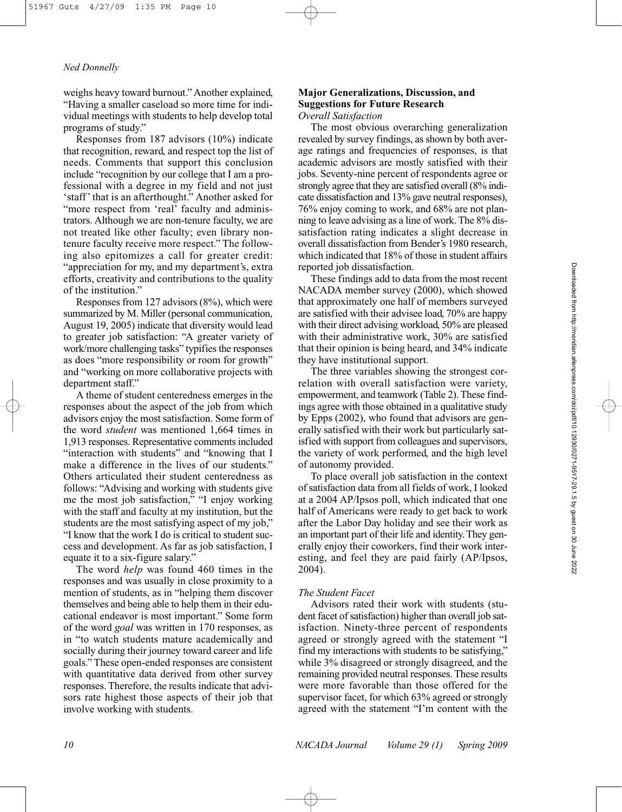weighs heavy toward burnout." Another explained, "Having a smaller caseload so more time for individual meetings with students to help develop total programs of study."

Responses from 187 advisors (10%) indicate that recognition, reward, and respect top the list of needs. Comments that support this conclusion include "recognition by our college that I am a professional with a degree in my field and not just 'staff' that is an afterthought." Another asked for "more respect from 'real' faculty and administrators. Although we are non-tenure faculty, we are not treated like other faculty; even library nontenure faculty receive more respect." The following also epitomizes a call for greater credit: "appreciation for my, and my department's, extra efforts, creativity and contributions to the quality of the institution."

Responses from 127 advisors (8%), which were summarized by M. Miller (personal communication, August 19, 2005) indicate that diversity would lead to greater job satisfaction: "A greater variety of work/more challenging tasks" typifies the responses as does "more responsibility or room for growth" and "working on more collaborative projects with department staff."

A theme of student centeredness emerges in the responses about the aspect of the job from which advisors enjoy the most satisfaction. Some form of the word *student* was mentioned 1,664 times in 1,913 responses. Representative comments included "interaction with students" and "knowing that I make a difference in the lives of our students." Others articulated their student centeredness as follows: "Advising and working with students give me the most job satisfaction," "I enjoy working with the staff and faculty at my institution, but the students are the most satisfying aspect of my job," "I know that the work I do is critical to student success and development. As far as job satisfaction, I equate it to a six-figure salary."

The word *help* was found 460 times in the responses and was usually in close proximity to a mention of students, as in "helping them discover themselves and being able to help them in their educational endeavor is most important." Some form of the word *goal* was written in 170 responses, as in "to watch students mature academically and socially during their journey toward career and life goals." These open-ended responses are consistent with quantitative data derived from other survey responses. Therefore, the results indicate that advisors rate highest those aspects of their job that involve working with students.

# **Major Generalizations, Discussion, and Suggestions for Future Research**

*Overall Satisfaction*

The most obvious overarching generalization revealed by survey findings, as shown by both average ratings and frequencies of responses, is that academic advisors are mostly satisfied with their jobs. Seventy-nine percent of respondents agree or strongly agree that they are satisfied overall (8% indicate dissatisfaction and 13% gave neutral responses), 76% enjoy coming to work, and 68% are not planning to leave advising as a line of work. The 8% dissatisfaction rating indicates a slight decrease in overall dissatisfaction from Bender's 1980 research, which indicated that 18% of those in student affairs reported job dissatisfaction.

These findings add to data from the most recent NACADA member survey (2000), which showed that approximately one half of members surveyed are satisfied with their advisee load, 70% are happy with their direct advising workload, 50% are pleased with their administrative work, 30% are satisfied that their opinion is being heard, and 34% indicate they have institutional support.

The three variables showing the strongest correlation with overall satisfaction were variety, empowerment, and teamwork (Table 2). These findings agree with those obtained in a qualitative study by Epps (2002), who found that advisors are generally satisfied with their work but particularly satisfied with support from colleagues and supervisors, the variety of work performed, and the high level of autonomy provided.

To place overall job satisfaction in the context of satisfaction data from all fields of work, I looked at a 2004 AP/Ipsos poll, which indicated that one half of Americans were ready to get back to work after the Labor Day holiday and see their work as an important part of their life and identity. They generally enjoy their coworkers, find their work interesting, and feel they are paid fairly (AP/Ipsos, 2004).

### *The Student Facet*

Advisors rated their work with students (student facet of satisfaction) higher than overall job satisfaction. Ninety-three percent of respondents agreed or strongly agreed with the statement "I find my interactions with students to be satisfying," while 3% disagreed or strongly disagreed, and the remaining provided neutral responses. These results were more favorable than those offered for the supervisor facet, for which 63% agreed or strongly agreed with the statement "I'm content with the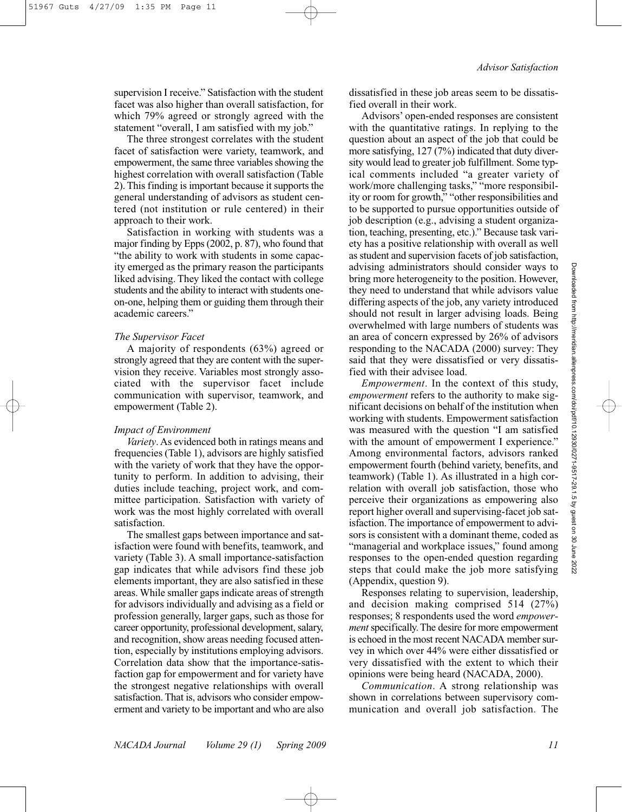supervision I receive." Satisfaction with the student facet was also higher than overall satisfaction, for which 79% agreed or strongly agreed with the statement "overall, I am satisfied with my job."

The three strongest correlates with the student facet of satisfaction were variety, teamwork, and empowerment, the same three variables showing the highest correlation with overall satisfaction (Table 2). This finding is important because it supports the general understanding of advisors as student centered (not institution or rule centered) in their approach to their work.

Satisfaction in working with students was a major finding by Epps (2002, p. 87), who found that "the ability to work with students in some capacity emerged as the primary reason the participants liked advising. They liked the contact with college students and the ability to interact with students oneon-one, helping them or guiding them through their academic careers."

#### *The Supervisor Facet*

A majority of respondents (63%) agreed or strongly agreed that they are content with the supervision they receive. Variables most strongly associated with the supervisor facet include communication with supervisor, teamwork, and empowerment (Table 2).

#### *Impact of Environment*

*Variety*. As evidenced both in ratings means and frequencies (Table 1), advisors are highly satisfied with the variety of work that they have the opportunity to perform. In addition to advising, their duties include teaching, project work, and committee participation. Satisfaction with variety of work was the most highly correlated with overall satisfaction.

The smallest gaps between importance and satisfaction were found with benefits, teamwork, and variety (Table 3). A small importance-satisfaction gap indicates that while advisors find these job elements important, they are also satisfied in these areas. While smaller gaps indicate areas of strength for advisors individually and advising as a field or profession generally, larger gaps, such as those for career opportunity, professional development, salary, and recognition, show areas needing focused attention, especially by institutions employing advisors. Correlation data show that the importance-satisfaction gap for empowerment and for variety have the strongest negative relationships with overall satisfaction. That is, advisors who consider empowerment and variety to be important and who are also

dissatisfied in these job areas seem to be dissatisfied overall in their work.

Advisors' open-ended responses are consistent with the quantitative ratings. In replying to the question about an aspect of the job that could be more satisfying, 127 (7%) indicated that duty diversity would lead to greater job fulfillment. Some typical comments included "a greater variety of work/more challenging tasks," "more responsibility or room for growth," "other responsibilities and to be supported to pursue opportunities outside of job description (e.g., advising a student organization, teaching, presenting, etc.)." Because task variety has a positive relationship with overall as well as student and supervision facets of job satisfaction, advising administrators should consider ways to bring more heterogeneity to the position. However, they need to understand that while advisors value differing aspects of the job, any variety introduced should not result in larger advising loads. Being overwhelmed with large numbers of students was an area of concern expressed by 26% of advisors responding to the NACADA (2000) survey: They said that they were dissatisfied or very dissatisfied with their advisee load.

*Empowerment*. In the context of this study, *empowerment* refers to the authority to make significant decisions on behalf of the institution when working with students. Empowerment satisfaction was measured with the question "I am satisfied with the amount of empowerment I experience." Among environmental factors, advisors ranked empowerment fourth (behind variety, benefits, and teamwork) (Table 1). As illustrated in a high correlation with overall job satisfaction, those who perceive their organizations as empowering also report higher overall and supervising-facet job satisfaction. The importance of empowerment to advisors is consistent with a dominant theme, coded as "managerial and workplace issues," found among responses to the open-ended question regarding steps that could make the job more satisfying (Appendix, question 9).

Responses relating to supervision, leadership, and decision making comprised 514 (27%) responses; 8 respondents used the word *empowerment* specifically. The desire for more empowerment is echoed in the most recent NACADA member survey in which over 44% were either dissatisfied or very dissatisfied with the extent to which their opinions were being heard (NACADA, 2000).

*Communication*. A strong relationship was shown in correlations between supervisory communication and overall job satisfaction. The Downloaded from http://meridian.allenpress.com/doi/pdf/10.12930/0271-9517-29.1.5 by guest on 30 June 2022

5 by guest ġ  $\overline{50}$ aunp 2022

Downloaded from http://meridian.allenpress.com/doi/pdf/10.12930/0271-9517-29.1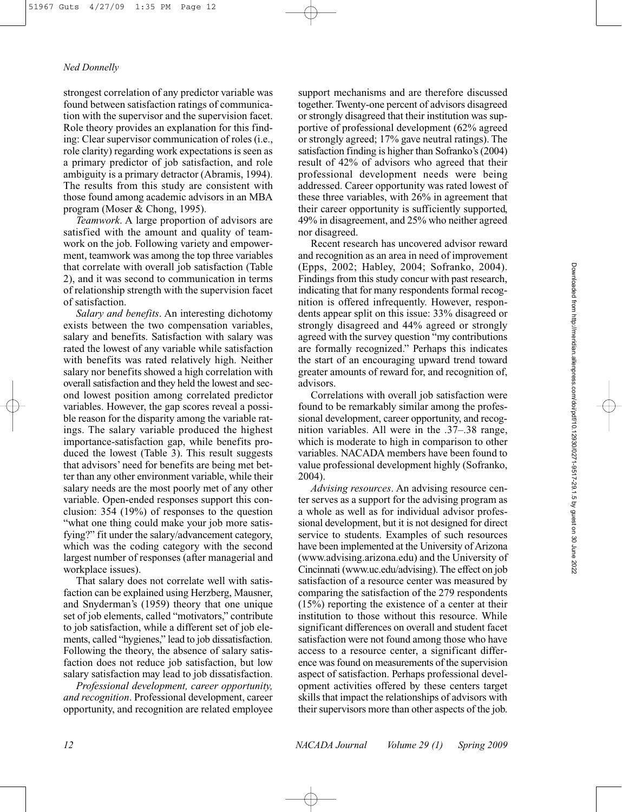strongest correlation of any predictor variable was found between satisfaction ratings of communication with the supervisor and the supervision facet. Role theory provides an explanation for this finding: Clear supervisor communication of roles (i.e., role clarity) regarding work expectations is seen as a primary predictor of job satisfaction, and role ambiguity is a primary detractor (Abramis, 1994). The results from this study are consistent with those found among academic advisors in an MBA program (Moser & Chong, 1995).

*Teamwork*. A large proportion of advisors are satisfied with the amount and quality of teamwork on the job. Following variety and empowerment, teamwork was among the top three variables that correlate with overall job satisfaction (Table 2), and it was second to communication in terms of relationship strength with the supervision facet of satisfaction.

*Salary and benefits*. An interesting dichotomy exists between the two compensation variables, salary and benefits. Satisfaction with salary was rated the lowest of any variable while satisfaction with benefits was rated relatively high. Neither salary nor benefits showed a high correlation with overall satisfaction and they held the lowest and second lowest position among correlated predictor variables. However, the gap scores reveal a possible reason for the disparity among the variable ratings. The salary variable produced the highest importance-satisfaction gap, while benefits produced the lowest (Table 3). This result suggests that advisors' need for benefits are being met better than any other environment variable, while their salary needs are the most poorly met of any other variable. Open-ended responses support this conclusion: 354 (19%) of responses to the question "what one thing could make your job more satisfying?" fit under the salary/advancement category, which was the coding category with the second largest number of responses (after managerial and workplace issues).

That salary does not correlate well with satisfaction can be explained using Herzberg, Mausner, and Snyderman's (1959) theory that one unique set of job elements, called "motivators," contribute to job satisfaction, while a different set of job elements, called "hygienes," lead to job dissatisfaction. Following the theory, the absence of salary satisfaction does not reduce job satisfaction, but low salary satisfaction may lead to job dissatisfaction.

*Professional development, career opportunity, and recognition*. Professional development, career opportunity, and recognition are related employee

support mechanisms and are therefore discussed together. Twenty-one percent of advisors disagreed or strongly disagreed that their institution was supportive of professional development (62% agreed or strongly agreed; 17% gave neutral ratings). The satisfaction finding is higher than Sofranko's (2004) result of 42% of advisors who agreed that their professional development needs were being addressed. Career opportunity was rated lowest of these three variables, with 26% in agreement that their career opportunity is sufficiently supported, 49% in disagreement, and 25% who neither agreed nor disagreed.

Recent research has uncovered advisor reward and recognition as an area in need of improvement (Epps, 2002; Habley, 2004; Sofranko, 2004). Findings from this study concur with past research, indicating that for many respondents formal recognition is offered infrequently. However, respondents appear split on this issue: 33% disagreed or strongly disagreed and 44% agreed or strongly agreed with the survey question "my contributions are formally recognized." Perhaps this indicates the start of an encouraging upward trend toward greater amounts of reward for, and recognition of, advisors.

Correlations with overall job satisfaction were found to be remarkably similar among the professional development, career opportunity, and recognition variables. All were in the .37–.38 range, which is moderate to high in comparison to other variables. NACADA members have been found to value professional development highly (Sofranko, 2004).

*Advising resources*. An advising resource center serves as a support for the advising program as a whole as well as for individual advisor professional development, but it is not designed for direct service to students. Examples of such resources have been implemented at the University of Arizona (www.advising.arizona.edu) and the University of Cincinnati (www.uc.edu/advising). The effect on job satisfaction of a resource center was measured by comparing the satisfaction of the 279 respondents (15%) reporting the existence of a center at their institution to those without this resource. While significant differences on overall and student facet satisfaction were not found among those who have access to a resource center, a significant difference was found on measurements of the supervision aspect of satisfaction. Perhaps professional development activities offered by these centers target skills that impact the relationships of advisors with their supervisors more than other aspects of the job.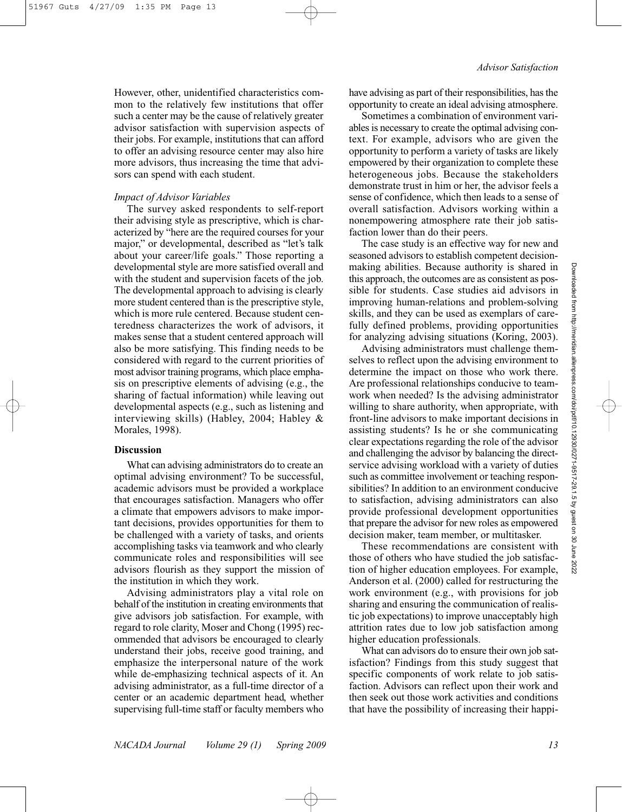However, other, unidentified characteristics common to the relatively few institutions that offer such a center may be the cause of relatively greater advisor satisfaction with supervision aspects of their jobs. For example, institutions that can afford to offer an advising resource center may also hire more advisors, thus increasing the time that advisors can spend with each student.

#### *Impact of Advisor Variables*

The survey asked respondents to self-report their advising style as prescriptive, which is characterized by "here are the required courses for your major," or developmental, described as "let's talk about your career/life goals." Those reporting a developmental style are more satisfied overall and with the student and supervision facets of the job. The developmental approach to advising is clearly more student centered than is the prescriptive style, which is more rule centered. Because student centeredness characterizes the work of advisors, it makes sense that a student centered approach will also be more satisfying. This finding needs to be considered with regard to the current priorities of most advisor training programs, which place emphasis on prescriptive elements of advising (e.g., the sharing of factual information) while leaving out developmental aspects (e.g., such as listening and interviewing skills) (Habley, 2004; Habley & Morales, 1998).

#### **Discussion**

What can advising administrators do to create an optimal advising environment? To be successful, academic advisors must be provided a workplace that encourages satisfaction. Managers who offer a climate that empowers advisors to make important decisions, provides opportunities for them to be challenged with a variety of tasks, and orients accomplishing tasks via teamwork and who clearly communicate roles and responsibilities will see advisors flourish as they support the mission of the institution in which they work.

Advising administrators play a vital role on behalf of the institution in creating environments that give advisors job satisfaction. For example, with regard to role clarity, Moser and Chong (1995) recommended that advisors be encouraged to clearly understand their jobs, receive good training, and emphasize the interpersonal nature of the work while de-emphasizing technical aspects of it. An advising administrator, as a full-time director of a center or an academic department head, whether supervising full-time staff or faculty members who

have advising as part of their responsibilities, has the opportunity to create an ideal advising atmosphere.

Sometimes a combination of environment variables is necessary to create the optimal advising context. For example, advisors who are given the opportunity to perform a variety of tasks are likely empowered by their organization to complete these heterogeneous jobs. Because the stakeholders demonstrate trust in him or her, the advisor feels a sense of confidence, which then leads to a sense of overall satisfaction. Advisors working within a nonempowering atmosphere rate their job satisfaction lower than do their peers.

The case study is an effective way for new and seasoned advisors to establish competent decisionmaking abilities. Because authority is shared in this approach, the outcomes are as consistent as possible for students. Case studies aid advisors in improving human-relations and problem-solving skills, and they can be used as exemplars of carefully defined problems, providing opportunities for analyzing advising situations (Koring, 2003).

Advising administrators must challenge themselves to reflect upon the advising environment to determine the impact on those who work there. Are professional relationships conducive to teamwork when needed? Is the advising administrator willing to share authority, when appropriate, with front-line advisors to make important decisions in assisting students? Is he or she communicating clear expectations regarding the role of the advisor and challenging the advisor by balancing the directservice advising workload with a variety of duties such as committee involvement or teaching responsibilities? In addition to an environment conducive to satisfaction, advising administrators can also provide professional development opportunities that prepare the advisor for new roles as empowered decision maker, team member, or multitasker.

These recommendations are consistent with those of others who have studied the job satisfaction of higher education employees. For example, Anderson et al. (2000) called for restructuring the work environment (e.g., with provisions for job sharing and ensuring the communication of realistic job expectations) to improve unacceptably high attrition rates due to low job satisfaction among higher education professionals.

What can advisors do to ensure their own job satisfaction? Findings from this study suggest that specific components of work relate to job satisfaction. Advisors can reflect upon their work and then seek out those work activities and conditions that have the possibility of increasing their happi-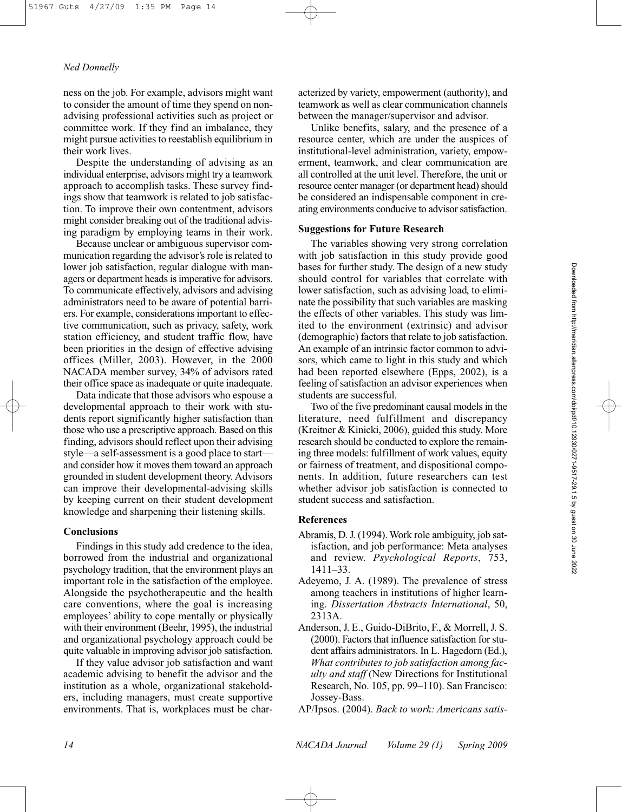ness on the job. For example, advisors might want to consider the amount of time they spend on nonadvising professional activities such as project or committee work. If they find an imbalance, they might pursue activities to reestablish equilibrium in their work lives.

Despite the understanding of advising as an individual enterprise, advisors might try a teamwork approach to accomplish tasks. These survey findings show that teamwork is related to job satisfaction. To improve their own contentment, advisors might consider breaking out of the traditional advising paradigm by employing teams in their work.

Because unclear or ambiguous supervisor communication regarding the advisor's role is related to lower job satisfaction, regular dialogue with managers or department heads is imperative for advisors. To communicate effectively, advisors and advising administrators need to be aware of potential barriers. For example, considerations important to effective communication, such as privacy, safety, work station efficiency, and student traffic flow, have been priorities in the design of effective advising offices (Miller, 2003). However, in the 2000 NACADA member survey, 34% of advisors rated their office space as inadequate or quite inadequate.

Data indicate that those advisors who espouse a developmental approach to their work with students report significantly higher satisfaction than those who use a prescriptive approach. Based on this finding, advisors should reflect upon their advising style—a self-assessment is a good place to start and consider how it moves them toward an approach grounded in student development theory. Advisors can improve their developmental-advising skills by keeping current on their student development knowledge and sharpening their listening skills.

#### **Conclusions**

Findings in this study add credence to the idea, borrowed from the industrial and organizational psychology tradition, that the environment plays an important role in the satisfaction of the employee. Alongside the psychotherapeutic and the health care conventions, where the goal is increasing employees' ability to cope mentally or physically with their environment (Beehr, 1995), the industrial and organizational psychology approach could be quite valuable in improving advisor job satisfaction.

If they value advisor job satisfaction and want academic advising to benefit the advisor and the institution as a whole, organizational stakeholders, including managers, must create supportive environments. That is, workplaces must be characterized by variety, empowerment (authority), and teamwork as well as clear communication channels between the manager/supervisor and advisor.

Unlike benefits, salary, and the presence of a resource center, which are under the auspices of institutional-level administration, variety, empowerment, teamwork, and clear communication are all controlled at the unit level. Therefore, the unit or resource center manager (or department head) should be considered an indispensable component in creating environments conducive to advisor satisfaction.

#### **Suggestions for Future Research**

The variables showing very strong correlation with job satisfaction in this study provide good bases for further study. The design of a new study should control for variables that correlate with lower satisfaction, such as advising load, to eliminate the possibility that such variables are masking the effects of other variables. This study was limited to the environment (extrinsic) and advisor (demographic) factors that relate to job satisfaction. An example of an intrinsic factor common to advisors, which came to light in this study and which had been reported elsewhere (Epps, 2002), is a feeling of satisfaction an advisor experiences when students are successful.

Two of the five predominant causal models in the literature, need fulfillment and discrepancy (Kreitner & Kinicki, 2006), guided this study. More research should be conducted to explore the remaining three models: fulfillment of work values, equity or fairness of treatment, and dispositional components. In addition, future researchers can test whether advisor job satisfaction is connected to student success and satisfaction.

### **References**

- Abramis, D. J. (1994). Work role ambiguity, job satisfaction, and job performance: Meta analyses and review. *Psychological Reports*, 753, 1411–33.
- Adeyemo, J. A. (1989). The prevalence of stress among teachers in institutions of higher learning. *Dissertation Abstracts International*, 50, 2313A.
- Anderson, J. E., Guido-DiBrito, F., & Morrell, J. S. (2000). Factors that influence satisfaction for student affairs administrators. In L. Hagedorn (Ed.), *What contributes to job satisfaction among faculty and staff* (New Directions for Institutional Research, No. 105, pp. 99–110). San Francisco: Jossey-Bass.
- AP/Ipsos. (2004). *Back to work: Americans satis-*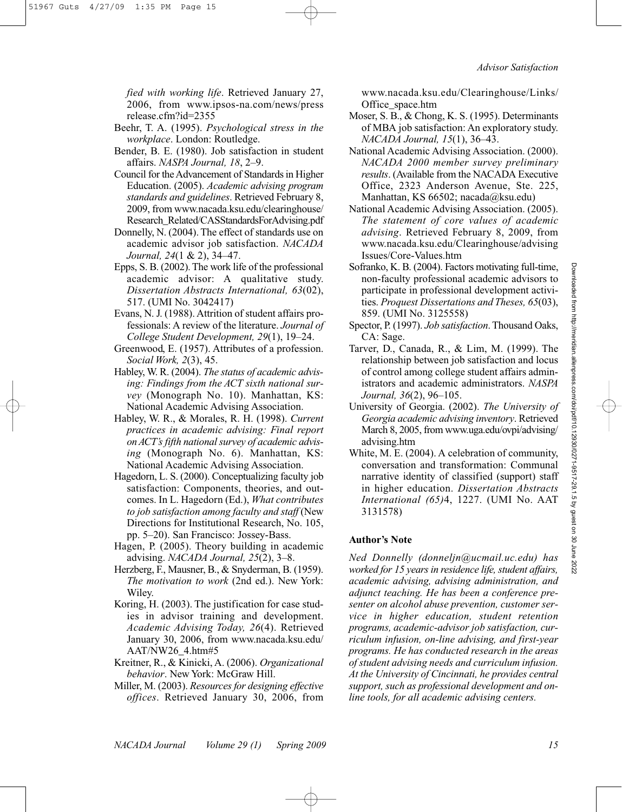*fied with working life*. Retrieved January 27, 2006, from www.ipsos-na.com/news/press release.cfm?id=2355

- Beehr, T. A. (1995). *Psychological stress in the workplace*. London: Routledge.
- Bender, B. E. (1980). Job satisfaction in student affairs. *NASPA Journal, 18*, 2–9.
- Council for the Advancement of Standards in Higher Education. (2005). *Academic advising program standards and guidelines*. Retrieved February 8, 2009, from www.nacada.ksu.edu/clearinghouse/ Research\_Related/CASStandardsForAdvising.pdf
- Donnelly, N. (2004). The effect of standards use on academic advisor job satisfaction. *NACADA Journal, 24*(1 & 2), 34–47.
- Epps, S. B. (2002). The work life of the professional academic advisor: A qualitative study. *Dissertation Abstracts International, 63*(02), 517. (UMI No. 3042417)
- Evans, N. J. (1988). Attrition of student affairs professionals: A review of the literature. *Journal of College Student Development, 29*(1), 19–24.
- Greenwood, E. (1957). Attributes of a profession. *Social Work, 2*(3), 45.
- Habley, W. R. (2004). *The status of academic advising: Findings from the ACT sixth national survey* (Monograph No. 10). Manhattan, KS: National Academic Advising Association.
- Habley, W. R., & Morales, R. H. (1998). *Current practices in academic advising: Final report on ACT's fifth national survey of academic advising* (Monograph No. 6). Manhattan, KS: National Academic Advising Association.
- Hagedorn, L. S. (2000). Conceptualizing faculty job satisfaction: Components, theories, and outcomes. In L. Hagedorn (Ed.), *What contributes to job satisfaction among faculty and staff* (New Directions for Institutional Research, No. 105, pp. 5–20). San Francisco: Jossey-Bass.
- Hagen, P. (2005). Theory building in academic advising. *NACADA Journal, 25*(2), 3–8.
- Herzberg, F., Mausner, B., & Snyderman, B. (1959). *The motivation to work* (2nd ed.). New York: Wiley.
- Koring, H. (2003). The justification for case studies in advisor training and development. *Academic Advising Today, 26*(4). Retrieved January 30, 2006, from www.nacada.ksu.edu/ AAT/NW26\_4.htm#5
- Kreitner, R., & Kinicki, A. (2006). *Organizational behavior*. New York: McGraw Hill.
- Miller, M. (2003). *Resources for designing effective offices*. Retrieved January 30, 2006, from

www.nacada.ksu.edu/Clearinghouse/Links/ Office\_space.htm

- Moser, S. B., & Chong, K. S. (1995). Determinants of MBA job satisfaction: An exploratory study. *NACADA Journal, 15*(1), 36–43.
- National Academic Advising Association. (2000). *NACADA 2000 member survey preliminary results*. (Available from the NACADA Executive Office, 2323 Anderson Avenue, Ste. 225, Manhattan, KS 66502; nacada@ksu.edu)
- National Academic Advising Association. (2005). *The statement of core values of academic advising*. Retrieved February 8, 2009, from www.nacada.ksu.edu/Clearinghouse/advising Issues/Core-Values.htm
- Sofranko, K. B. (2004). Factors motivating full-time, non-faculty professional academic advisors to participate in professional development activities. *Proquest Dissertations and Theses, 65*(03), 859. (UMI No. 3125558)
- Spector, P. (1997). *Job satisfaction*.Thousand Oaks, CA: Sage.
- Tarver, D., Canada, R., & Lim, M. (1999). The relationship between job satisfaction and locus of control among college student affairs administrators and academic administrators. *NASPA Journal, 36*(2), 96–105.
- University of Georgia. (2002). *The University of Georgia academic advising inventory*. Retrieved March 8, 2005, from www.uga.edu/ovpi/advising/ advising.htm
- White, M. E. (2004). A celebration of community, conversation and transformation: Communal narrative identity of classified (support) staff in higher education. *Dissertation Abstracts International (65)*4, 1227. (UMI No. AAT 3131578)

#### **Author's Note**

*Ned Donnelly (donneljn@ucmail.uc.edu) has worked for 15 years in residence life, student affairs, academic advising, advising administration, and adjunct teaching. He has been a conference presenter on alcohol abuse prevention, customer service in higher education, student retention programs, academic-advisor job satisfaction, curriculum infusion, on-line advising, and first-year programs. He has conducted research in the areas of student advising needs and curriculum infusion. At the University of Cincinnati, he provides central support, such as professional development and online tools, for all academic advising centers.*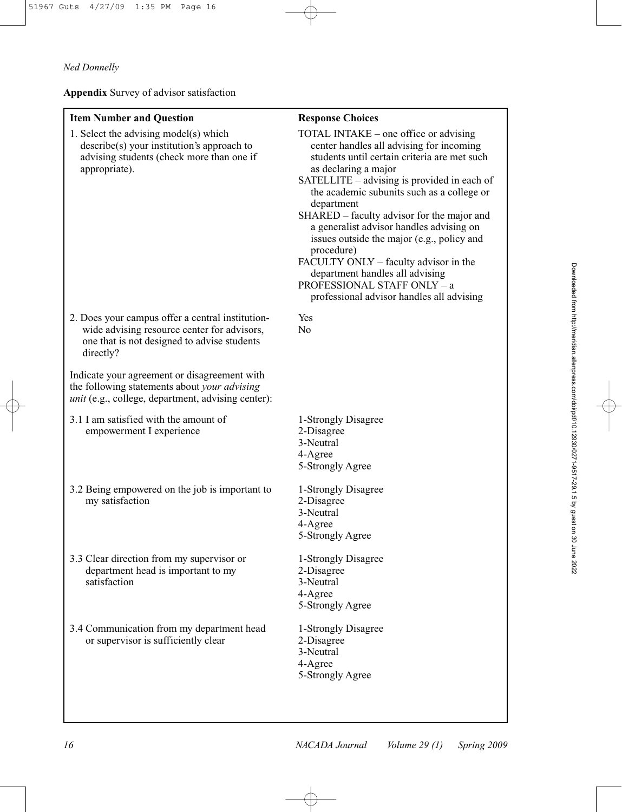**Appendix** Survey of advisor satisfaction

| <b>Item Number and Question</b>                                                                                                                             | <b>Response Choices</b>                                                                                                                                                                                                                                                                                                                                                                                                                                                                                                                                                            |
|-------------------------------------------------------------------------------------------------------------------------------------------------------------|------------------------------------------------------------------------------------------------------------------------------------------------------------------------------------------------------------------------------------------------------------------------------------------------------------------------------------------------------------------------------------------------------------------------------------------------------------------------------------------------------------------------------------------------------------------------------------|
| 1. Select the advising model(s) which<br>$describe(s)$ your institution's approach to<br>advising students (check more than one if<br>appropriate).         | TOTAL INTAKE – one office or advising<br>center handles all advising for incoming<br>students until certain criteria are met such<br>as declaring a major<br>SATELLITE – advising is provided in each of<br>the academic subunits such as a college or<br>department<br>SHARED – faculty advisor for the major and<br>a generalist advisor handles advising on<br>issues outside the major (e.g., policy and<br>procedure)<br>FACULTY ONLY - faculty advisor in the<br>department handles all advising<br>PROFESSIONAL STAFF ONLY - a<br>professional advisor handles all advising |
| 2. Does your campus offer a central institution-<br>wide advising resource center for advisors,<br>one that is not designed to advise students<br>directly? | Yes<br>N <sub>0</sub>                                                                                                                                                                                                                                                                                                                                                                                                                                                                                                                                                              |
| Indicate your agreement or disagreement with<br>the following statements about your advising<br>unit (e.g., college, department, advising center):          |                                                                                                                                                                                                                                                                                                                                                                                                                                                                                                                                                                                    |
| 3.1 I am satisfied with the amount of<br>empowerment I experience                                                                                           | 1-Strongly Disagree<br>2-Disagree<br>3-Neutral<br>4-Agree<br>5-Strongly Agree                                                                                                                                                                                                                                                                                                                                                                                                                                                                                                      |
| 3.2 Being empowered on the job is important to<br>my satisfaction                                                                                           | 1-Strongly Disagree<br>2-Disagree<br>3-Neutral<br>4-Agree<br>5-Strongly Agree                                                                                                                                                                                                                                                                                                                                                                                                                                                                                                      |
| 3.3 Clear direction from my supervisor or<br>department head is important to my<br>satisfaction                                                             | 1-Strongly Disagree<br>2-Disagree<br>3-Neutral<br>4-Agree<br>5-Strongly Agree                                                                                                                                                                                                                                                                                                                                                                                                                                                                                                      |
| 3.4 Communication from my department head<br>or supervisor is sufficiently clear                                                                            | 1-Strongly Disagree<br>2-Disagree<br>3-Neutral<br>4-Agree<br>5-Strongly Agree                                                                                                                                                                                                                                                                                                                                                                                                                                                                                                      |
|                                                                                                                                                             |                                                                                                                                                                                                                                                                                                                                                                                                                                                                                                                                                                                    |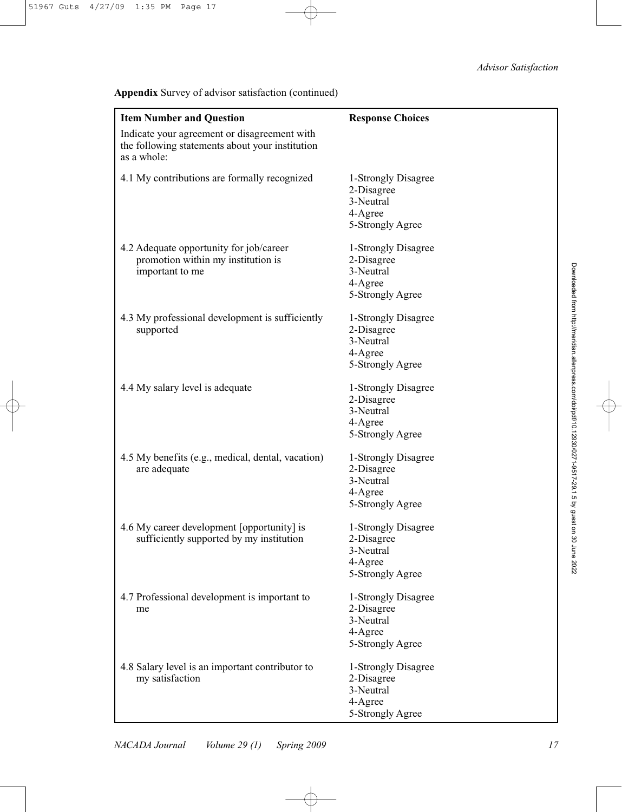**Appendix** Survey of advisor satisfaction (continued)

| <b>Item Number and Question</b>                                                                                | <b>Response Choices</b>                                                       |
|----------------------------------------------------------------------------------------------------------------|-------------------------------------------------------------------------------|
| Indicate your agreement or disagreement with<br>the following statements about your institution<br>as a whole: |                                                                               |
| 4.1 My contributions are formally recognized                                                                   | 1-Strongly Disagree<br>2-Disagree<br>3-Neutral<br>4-Agree<br>5-Strongly Agree |
| 4.2 Adequate opportunity for job/career<br>promotion within my institution is<br>important to me               | 1-Strongly Disagree<br>2-Disagree<br>3-Neutral<br>4-Agree<br>5-Strongly Agree |
| 4.3 My professional development is sufficiently<br>supported                                                   | 1-Strongly Disagree<br>2-Disagree<br>3-Neutral<br>4-Agree<br>5-Strongly Agree |
| 4.4 My salary level is adequate                                                                                | 1-Strongly Disagree<br>2-Disagree<br>3-Neutral<br>4-Agree<br>5-Strongly Agree |
| 4.5 My benefits (e.g., medical, dental, vacation)<br>are adequate                                              | 1-Strongly Disagree<br>2-Disagree<br>3-Neutral<br>4-Agree<br>5-Strongly Agree |
| 4.6 My career development [opportunity] is<br>sufficiently supported by my institution                         | 1-Strongly Disagree<br>2-Disagree<br>3-Neutral<br>4-Agree<br>5-Strongly Agree |
| 4.7 Professional development is important to<br>me                                                             | 1-Strongly Disagree<br>2-Disagree<br>3-Neutral<br>4-Agree<br>5-Strongly Agree |
| 4.8 Salary level is an important contributor to<br>my satisfaction                                             | 1-Strongly Disagree<br>2-Disagree<br>3-Neutral<br>4-Agree<br>5-Strongly Agree |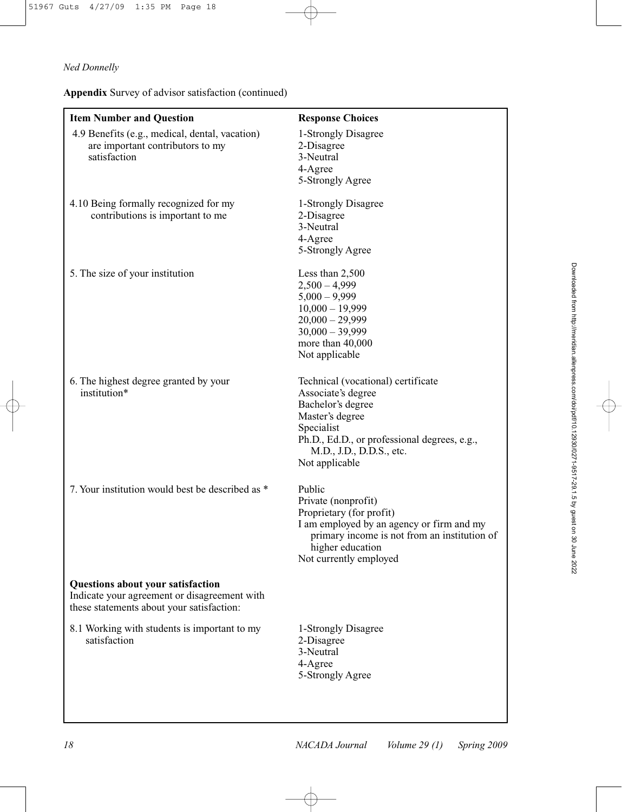**Appendix** Survey of advisor satisfaction (continued)

| <b>Item Number and Question</b>                                                                                                | <b>Response Choices</b>                                                                                                                                                                                      |
|--------------------------------------------------------------------------------------------------------------------------------|--------------------------------------------------------------------------------------------------------------------------------------------------------------------------------------------------------------|
| 4.9 Benefits (e.g., medical, dental, vacation)<br>are important contributors to my<br>satisfaction                             | 1-Strongly Disagree<br>2-Disagree<br>3-Neutral<br>4-Agree<br>5-Strongly Agree                                                                                                                                |
| 4.10 Being formally recognized for my<br>contributions is important to me                                                      | 1-Strongly Disagree<br>2-Disagree<br>3-Neutral<br>4-Agree<br>5-Strongly Agree                                                                                                                                |
| 5. The size of your institution                                                                                                | Less than 2,500<br>$2,500 - 4,999$<br>$5,000 - 9,999$<br>$10,000 - 19,999$<br>$20,000 - 29,999$<br>$30,000 - 39,999$<br>more than 40,000<br>Not applicable                                                   |
| 6. The highest degree granted by your<br>institution*                                                                          | Technical (vocational) certificate<br>Associate's degree<br>Bachelor's degree<br>Master's degree<br>Specialist<br>Ph.D., Ed.D., or professional degrees, e.g.,<br>M.D., J.D., D.D.S., etc.<br>Not applicable |
| 7. Your institution would best be described as *                                                                               | Public<br>Private (nonprofit)<br>Proprietary (for profit)<br>I am employed by an agency or firm and my<br>primary income is not from an institution of<br>higher education<br>Not currently employed         |
| Questions about your satisfaction<br>Indicate your agreement or disagreement with<br>these statements about your satisfaction: |                                                                                                                                                                                                              |
| 8.1 Working with students is important to my<br>satisfaction                                                                   | 1-Strongly Disagree<br>2-Disagree<br>3-Neutral<br>4-Agree<br>5-Strongly Agree                                                                                                                                |
|                                                                                                                                |                                                                                                                                                                                                              |

Æ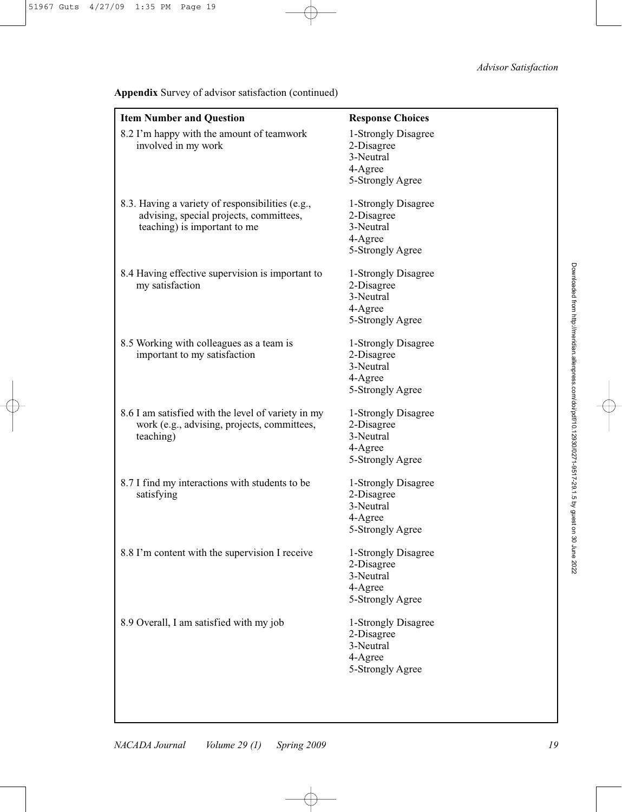## *Advisor Satisfaction*

| <b>Item Number and Question</b>                                                                                             | <b>Response Choices</b>                                                       |
|-----------------------------------------------------------------------------------------------------------------------------|-------------------------------------------------------------------------------|
| 8.2 I'm happy with the amount of teamwork<br>involved in my work                                                            | 1-Strongly Disagree<br>2-Disagree<br>3-Neutral<br>4-Agree<br>5-Strongly Agree |
| 8.3. Having a variety of responsibilities (e.g.,<br>advising, special projects, committees,<br>teaching) is important to me | 1-Strongly Disagree<br>2-Disagree<br>3-Neutral<br>4-Agree<br>5-Strongly Agree |
| 8.4 Having effective supervision is important to<br>my satisfaction                                                         | 1-Strongly Disagree<br>2-Disagree<br>3-Neutral<br>4-Agree<br>5-Strongly Agree |
| 8.5 Working with colleagues as a team is<br>important to my satisfaction                                                    | 1-Strongly Disagree<br>2-Disagree<br>3-Neutral<br>4-Agree<br>5-Strongly Agree |
| 8.6 I am satisfied with the level of variety in my<br>work (e.g., advising, projects, committees,<br>teaching)              | 1-Strongly Disagree<br>2-Disagree<br>3-Neutral<br>4-Agree<br>5-Strongly Agree |
| 8.7 I find my interactions with students to be<br>satisfying                                                                | 1-Strongly Disagree<br>2-Disagree<br>3-Neutral<br>4-Agree<br>5-Strongly Agree |
| 8.8 I'm content with the supervision I receive                                                                              | 1-Strongly Disagree<br>2-Disagree<br>3-Neutral<br>4-Agree<br>5-Strongly Agree |
| 8.9 Overall, I am satisfied with my job                                                                                     | 1-Strongly Disagree<br>2-Disagree<br>3-Neutral<br>4-Agree<br>5-Strongly Agree |

**Appendix** Survey of advisor satisfaction (continued)

Downloaded from http://meridian.allenpress.com/dolipdf/10.12930/0271-39.1.5 by guest on 30 June 2022 Downloaded from http://meridian.allenpress.com/doi/pdf/10.12930/0271-9517-29.1.5 by guest on 30 June 2022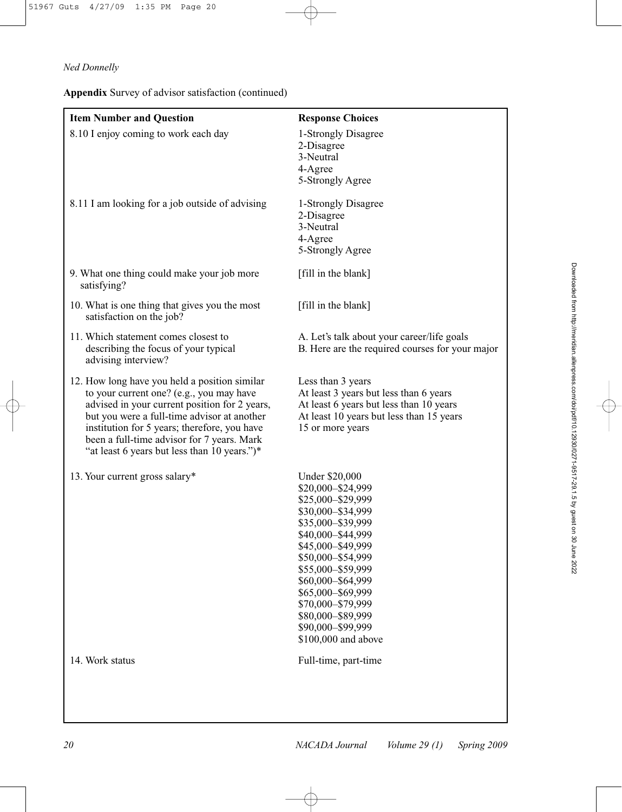**Appendix** Survey of advisor satisfaction (continued)

| <b>Item Number and Question</b>                                                                                                                                                                                                                                                                                                         | <b>Response Choices</b>                                                                                                                                                                                                                                                                                                       |
|-----------------------------------------------------------------------------------------------------------------------------------------------------------------------------------------------------------------------------------------------------------------------------------------------------------------------------------------|-------------------------------------------------------------------------------------------------------------------------------------------------------------------------------------------------------------------------------------------------------------------------------------------------------------------------------|
| 8.10 I enjoy coming to work each day                                                                                                                                                                                                                                                                                                    | 1-Strongly Disagree<br>2-Disagree<br>3-Neutral<br>4-Agree<br>5-Strongly Agree                                                                                                                                                                                                                                                 |
| 8.11 I am looking for a job outside of advising                                                                                                                                                                                                                                                                                         | 1-Strongly Disagree<br>2-Disagree<br>3-Neutral<br>4-Agree<br>5-Strongly Agree                                                                                                                                                                                                                                                 |
| 9. What one thing could make your job more<br>satisfying?                                                                                                                                                                                                                                                                               | [fill in the blank]                                                                                                                                                                                                                                                                                                           |
| 10. What is one thing that gives you the most<br>satisfaction on the job?                                                                                                                                                                                                                                                               | [fill in the blank]                                                                                                                                                                                                                                                                                                           |
| 11. Which statement comes closest to<br>describing the focus of your typical<br>advising interview?                                                                                                                                                                                                                                     | A. Let's talk about your career/life goals<br>B. Here are the required courses for your major                                                                                                                                                                                                                                 |
| 12. How long have you held a position similar<br>to your current one? (e.g., you may have<br>advised in your current position for 2 years,<br>but you were a full-time advisor at another<br>institution for 5 years; therefore, you have<br>been a full-time advisor for 7 years. Mark<br>"at least 6 years but less than 10 years.")* | Less than 3 years<br>At least 3 years but less than 6 years<br>At least 6 years but less than 10 years<br>At least 10 years but less than 15 years<br>15 or more years                                                                                                                                                        |
| 13. Your current gross salary*                                                                                                                                                                                                                                                                                                          | <b>Under \$20,000</b><br>\$20,000-\$24,999<br>\$25,000-\$29,999<br>\$30,000-\$34,999<br>\$35,000-\$39,999<br>\$40,000-\$44,999<br>\$45,000-\$49,999<br>\$50,000-\$54,999<br>\$55,000-\$59,999<br>\$60,000-\$64,999<br>\$65,000-\$69,999<br>\$70,000-\$79,999<br>\$80,000-\$89,999<br>\$90,000-\$99,999<br>\$100,000 and above |
| 14. Work status                                                                                                                                                                                                                                                                                                                         | Full-time, part-time                                                                                                                                                                                                                                                                                                          |
|                                                                                                                                                                                                                                                                                                                                         |                                                                                                                                                                                                                                                                                                                               |